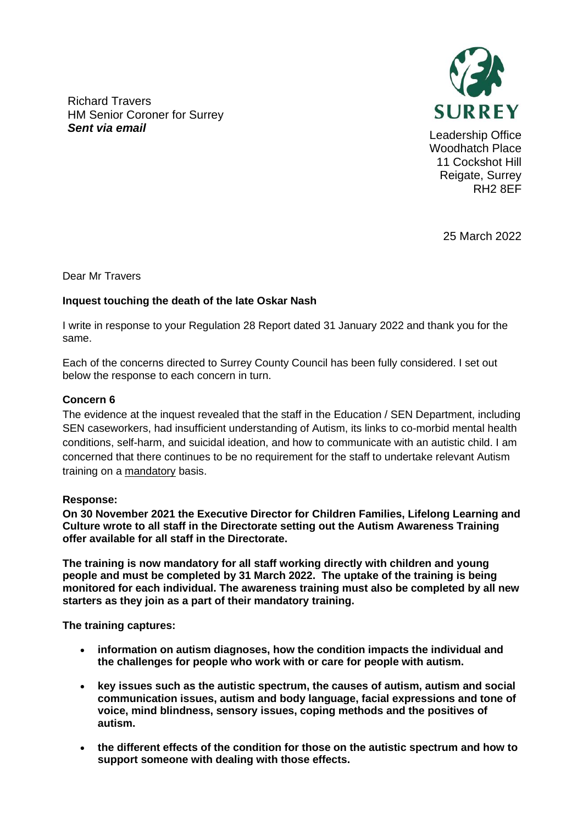Richard Travers HM Senior Coroner for Surrey **Sent via email Sent via email Sent via email Sent via email Leadership Office** 



Woodhatch Place 11 Cockshot Hill Reigate, Surrey RH2 8EF

25 March 2022

Dear Mr Travers

## **Inquest touching the death of the late Oskar Nash**

I write in response to your Regulation 28 Report dated 31 January 2022 and thank you for the same.

Each of the concerns directed to Surrey County Council has been fully considered. I set out below the response to each concern in turn.

### **Concern 6**

The evidence at the inquest revealed that the staff in the Education / SEN Department, including SEN caseworkers, had insufficient understanding of Autism, its links to co-morbid mental health conditions, self-harm, and suicidal ideation, and how to communicate with an autistic child. I am concerned that there continues to be no requirement for the staff to undertake relevant Autism training on a mandatory basis.

### **Response:**

**On 30 November 2021 the Executive Director for Children Families, Lifelong Learning and Culture wrote to all staff in the Directorate setting out the Autism Awareness Training offer available for all staff in the Directorate.**

**The training is now mandatory for all staff working directly with children and young people and must be completed by 31 March 2022. The uptake of the training is being monitored for each individual. The awareness training must also be completed by all new starters as they join as a part of their mandatory training.** 

**The training captures:** 

- **information on autism diagnoses, how the condition impacts the individual and the challenges for people who work with or care for people with autism.**
- **key issues such as the autistic spectrum, the causes of autism, autism and social communication issues, autism and body language, facial expressions and tone of voice, mind blindness, sensory issues, coping methods and the positives of autism.**
- **the different effects of the condition for those on the autistic spectrum and how to support someone with dealing with those effects.**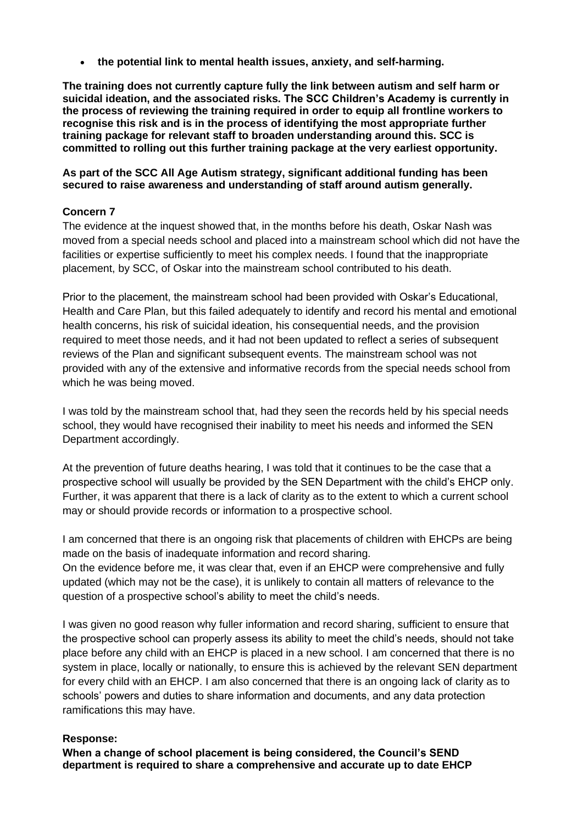• **the potential link to mental health issues, anxiety, and self-harming.** 

**The training does not currently capture fully the link between autism and self harm or suicidal ideation, and the associated risks. The SCC Children's Academy is currently in the process of reviewing the training required in order to equip all frontline workers to recognise this risk and is in the process of identifying the most appropriate further training package for relevant staff to broaden understanding around this. SCC is committed to rolling out this further training package at the very earliest opportunity.**

## **As part of the SCC All Age Autism strategy, significant additional funding has been secured to raise awareness and understanding of staff around autism generally.**

# **Concern 7**

The evidence at the inquest showed that, in the months before his death, Oskar Nash was moved from a special needs school and placed into a mainstream school which did not have the facilities or expertise sufficiently to meet his complex needs. I found that the inappropriate placement, by SCC, of Oskar into the mainstream school contributed to his death.

Prior to the placement, the mainstream school had been provided with Oskar's Educational, Health and Care Plan, but this failed adequately to identify and record his mental and emotional health concerns, his risk of suicidal ideation, his consequential needs, and the provision required to meet those needs, and it had not been updated to reflect a series of subsequent reviews of the Plan and significant subsequent events. The mainstream school was not provided with any of the extensive and informative records from the special needs school from which he was being moved.

I was told by the mainstream school that, had they seen the records held by his special needs school, they would have recognised their inability to meet his needs and informed the SEN Department accordingly.

At the prevention of future deaths hearing, I was told that it continues to be the case that a prospective school will usually be provided by the SEN Department with the child's EHCP only. Further, it was apparent that there is a lack of clarity as to the extent to which a current school may or should provide records or information to a prospective school.

I am concerned that there is an ongoing risk that placements of children with EHCPs are being made on the basis of inadequate information and record sharing.

On the evidence before me, it was clear that, even if an EHCP were comprehensive and fully updated (which may not be the case), it is unlikely to contain all matters of relevance to the question of a prospective school's ability to meet the child's needs.

I was given no good reason why fuller information and record sharing, sufficient to ensure that the prospective school can properly assess its ability to meet the child's needs, should not take place before any child with an EHCP is placed in a new school. I am concerned that there is no system in place, locally or nationally, to ensure this is achieved by the relevant SEN department for every child with an EHCP. I am also concerned that there is an ongoing lack of clarity as to schools' powers and duties to share information and documents, and any data protection ramifications this may have.

# **Response:**

**When a change of school placement is being considered, the Council's SEND department is required to share a comprehensive and accurate up to date EHCP**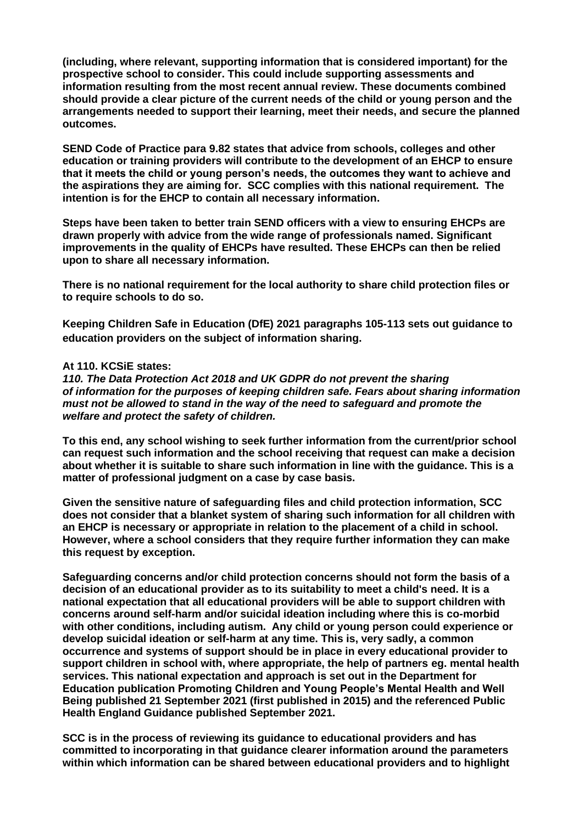**(including, where relevant, supporting information that is considered important) for the prospective school to consider. This could include supporting assessments and information resulting from the most recent annual review. These documents combined should provide a clear picture of the current needs of the child or young person and the arrangements needed to support their learning, meet their needs, and secure the planned outcomes.** 

**SEND Code of Practice para 9.82 states that advice from schools, colleges and other education or training providers will contribute to the development of an EHCP to ensure that it meets the child or young person's needs, the outcomes they want to achieve and the aspirations they are aiming for. SCC complies with this national requirement. The intention is for the EHCP to contain all necessary information.**

**Steps have been taken to better train SEND officers with a view to ensuring EHCPs are drawn properly with advice from the wide range of professionals named. Significant improvements in the quality of EHCPs have resulted. These EHCPs can then be relied upon to share all necessary information.** 

**There is no national requirement for the local authority to share child protection files or to require schools to do so.** 

**Keeping Children Safe in Education (DfE) 2021 paragraphs 105-113 sets out guidance to education providers on the subject of information sharing.** 

#### **At 110. KCSiE states:**

*110. The Data Protection Act 2018 and UK GDPR do not prevent the sharing of information for the purposes of keeping children safe. Fears about sharing information must not be allowed to stand in the way of the need to safeguard and promote the welfare and protect the safety of children.*

**To this end, any school wishing to seek further information from the current/prior school can request such information and the school receiving that request can make a decision about whether it is suitable to share such information in line with the guidance. This is a matter of professional judgment on a case by case basis.** 

**Given the sensitive nature of safeguarding files and child protection information, SCC does not consider that a blanket system of sharing such information for all children with an EHCP is necessary or appropriate in relation to the placement of a child in school. However, where a school considers that they require further information they can make this request by exception.** 

**Safeguarding concerns and/or child protection concerns should not form the basis of a decision of an educational provider as to its suitability to meet a child's need. It is a national expectation that all educational providers will be able to support children with concerns around self-harm and/or suicidal ideation including where this is co-morbid with other conditions, including autism. Any child or young person could experience or develop suicidal ideation or self-harm at any time. This is, very sadly, a common occurrence and systems of support should be in place in every educational provider to support children in school with, where appropriate, the help of partners eg. mental health services. This national expectation and approach is set out in the Department for Education publication Promoting Children and Young People's Mental Health and Well Being published 21 September 2021 (first published in 2015) and the referenced Public Health England Guidance published September 2021.** 

**SCC is in the process of reviewing its guidance to educational providers and has committed to incorporating in that guidance clearer information around the parameters within which information can be shared between educational providers and to highlight**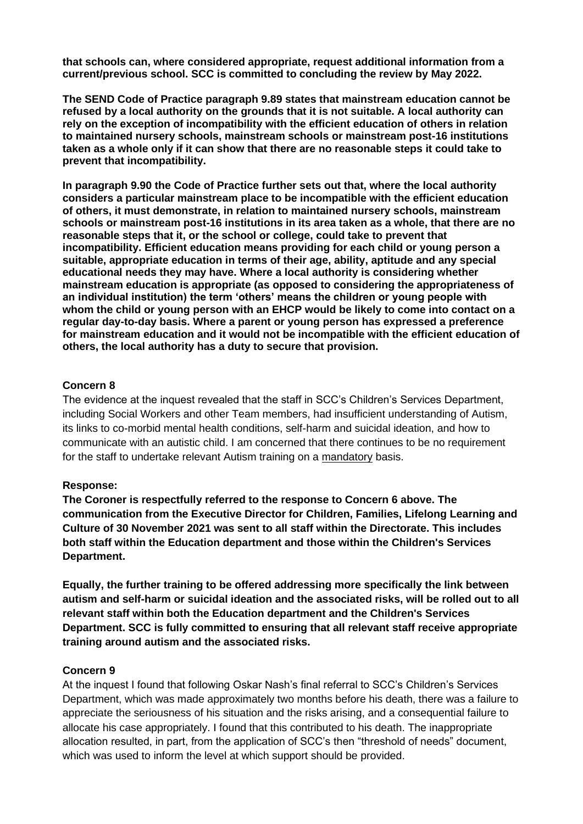**that schools can, where considered appropriate, request additional information from a current/previous school. SCC is committed to concluding the review by May 2022.**

**The SEND Code of Practice paragraph 9.89 states that mainstream education cannot be refused by a local authority on the grounds that it is not suitable. A local authority can rely on the exception of incompatibility with the efficient education of others in relation to maintained nursery schools, mainstream schools or mainstream post-16 institutions taken as a whole only if it can show that there are no reasonable steps it could take to prevent that incompatibility.** 

**In paragraph 9.90 the Code of Practice further sets out that, where the local authority considers a particular mainstream place to be incompatible with the efficient education of others, it must demonstrate, in relation to maintained nursery schools, mainstream schools or mainstream post-16 institutions in its area taken as a whole, that there are no reasonable steps that it, or the school or college, could take to prevent that incompatibility. Efficient education means providing for each child or young person a suitable, appropriate education in terms of their age, ability, aptitude and any special educational needs they may have. Where a local authority is considering whether mainstream education is appropriate (as opposed to considering the appropriateness of an individual institution) the term 'others' means the children or young people with whom the child or young person with an EHCP would be likely to come into contact on a regular day-to-day basis. Where a parent or young person has expressed a preference for mainstream education and it would not be incompatible with the efficient education of others, the local authority has a duty to secure that provision.**

### **Concern 8**

The evidence at the inquest revealed that the staff in SCC's Children's Services Department, including Social Workers and other Team members, had insufficient understanding of Autism, its links to co-morbid mental health conditions, self-harm and suicidal ideation, and how to communicate with an autistic child. I am concerned that there continues to be no requirement for the staff to undertake relevant Autism training on a mandatory basis.

#### **Response:**

**The Coroner is respectfully referred to the response to Concern 6 above. The communication from the Executive Director for Children, Families, Lifelong Learning and Culture of 30 November 2021 was sent to all staff within the Directorate. This includes both staff within the Education department and those within the Children's Services Department.**

**Equally, the further training to be offered addressing more specifically the link between autism and self-harm or suicidal ideation and the associated risks, will be rolled out to all relevant staff within both the Education department and the Children's Services Department. SCC is fully committed to ensuring that all relevant staff receive appropriate training around autism and the associated risks.**

#### **Concern 9**

At the inquest I found that following Oskar Nash's final referral to SCC's Children's Services Department, which was made approximately two months before his death, there was a failure to appreciate the seriousness of his situation and the risks arising, and a consequential failure to allocate his case appropriately. I found that this contributed to his death. The inappropriate allocation resulted, in part, from the application of SCC's then "threshold of needs" document, which was used to inform the level at which support should be provided.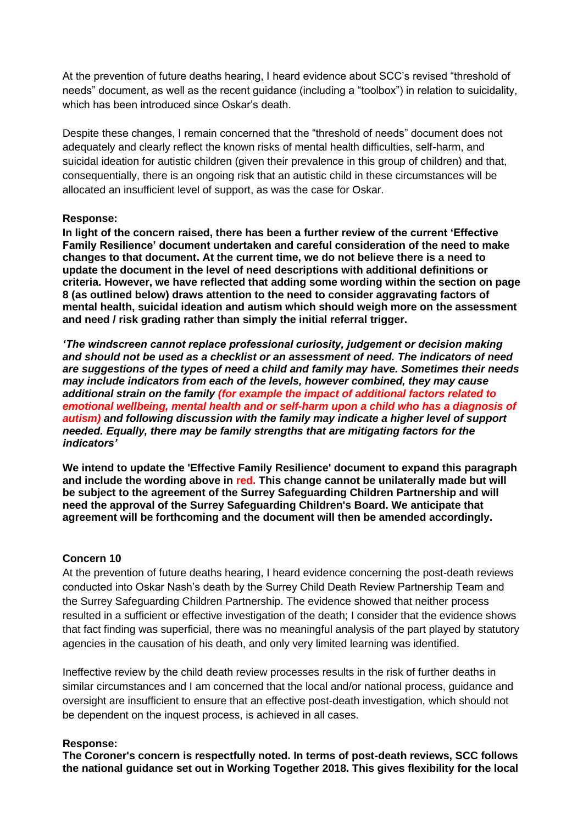At the prevention of future deaths hearing, I heard evidence about SCC's revised "threshold of needs" document, as well as the recent guidance (including a "toolbox") in relation to suicidality, which has been introduced since Oskar's death.

Despite these changes, I remain concerned that the "threshold of needs" document does not adequately and clearly reflect the known risks of mental health difficulties, self-harm, and suicidal ideation for autistic children (given their prevalence in this group of children) and that, consequentially, there is an ongoing risk that an autistic child in these circumstances will be allocated an insufficient level of support, as was the case for Oskar.

### **Response:**

**In light of the concern raised, there has been a further review of the current 'Effective Family Resilience' document undertaken and careful consideration of the need to make changes to that document. At the current time, we do not believe there is a need to update the document in the level of need descriptions with additional definitions or criteria. However, we have reflected that adding some wording within the section on page 8 (as outlined below) draws attention to the need to consider aggravating factors of mental health, suicidal ideation and autism which should weigh more on the assessment and need / risk grading rather than simply the initial referral trigger.**

*'The windscreen cannot replace professional curiosity, judgement or decision making and should not be used as a checklist or an assessment of need. The indicators of need are suggestions of the types of need a child and family may have. Sometimes their needs may include indicators from each of the levels, however combined, they may cause additional strain on the family (for example the impact of additional factors related to emotional wellbeing, mental health and or self-harm upon a child who has a diagnosis of autism) and following discussion with the family may indicate a higher level of support needed. Equally, there may be family strengths that are mitigating factors for the indicators'*

**We intend to update the 'Effective Family Resilience' document to expand this paragraph and include the wording above in red. This change cannot be unilaterally made but will be subject to the agreement of the Surrey Safeguarding Children Partnership and will need the approval of the Surrey Safeguarding Children's Board. We anticipate that agreement will be forthcoming and the document will then be amended accordingly.** 

# **Concern 10**

At the prevention of future deaths hearing, I heard evidence concerning the post-death reviews conducted into Oskar Nash's death by the Surrey Child Death Review Partnership Team and the Surrey Safeguarding Children Partnership. The evidence showed that neither process resulted in a sufficient or effective investigation of the death; I consider that the evidence shows that fact finding was superficial, there was no meaningful analysis of the part played by statutory agencies in the causation of his death, and only very limited learning was identified.

Ineffective review by the child death review processes results in the risk of further deaths in similar circumstances and I am concerned that the local and/or national process, guidance and oversight are insufficient to ensure that an effective post-death investigation, which should not be dependent on the inquest process, is achieved in all cases.

### **Response:**

**The Coroner's concern is respectfully noted. In terms of post-death reviews, SCC follows the national guidance set out in Working Together 2018. This gives flexibility for the local**